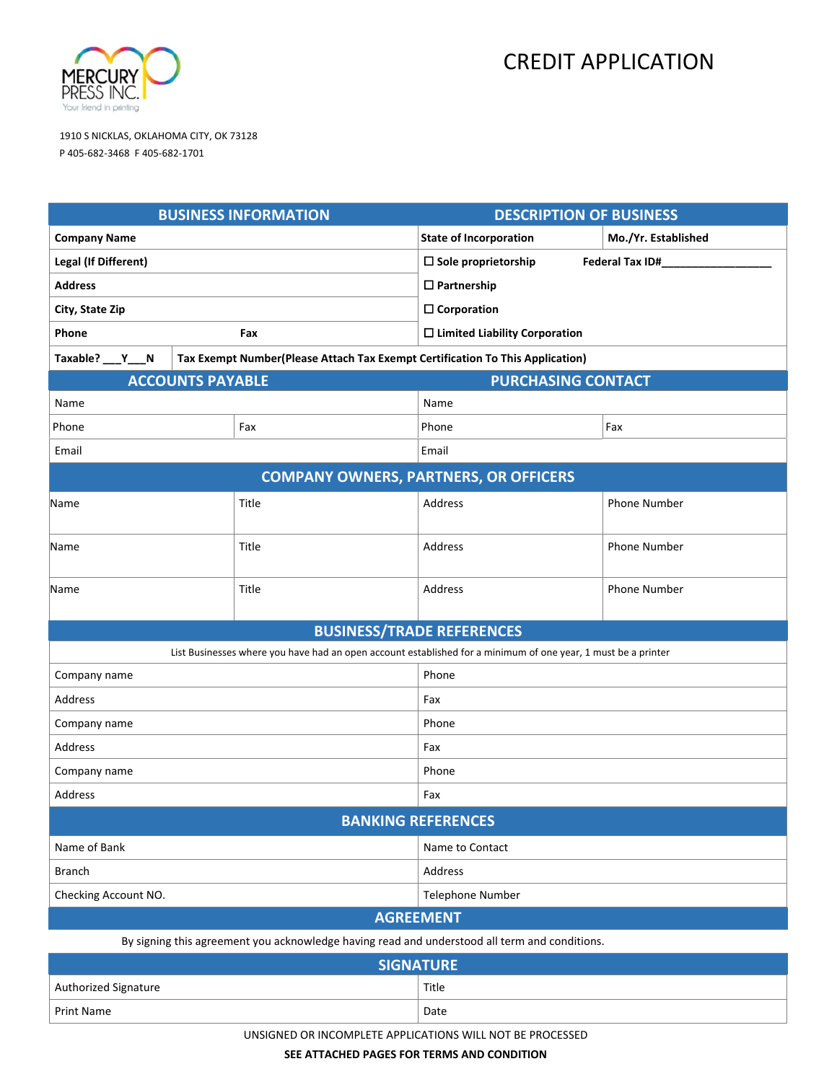

# CREDIT APPLICATION

1910 S NICKLAS, OKLAHOMA CITY, OK 73128 P 405‐682‐3468 F 405‐682‐1701

| <b>BUSINESS INFORMATION</b>                                                                                   |                                                                               |                                         | <b>DESCRIPTION OF BUSINESS</b> |                     |  |
|---------------------------------------------------------------------------------------------------------------|-------------------------------------------------------------------------------|-----------------------------------------|--------------------------------|---------------------|--|
| <b>Company Name</b>                                                                                           |                                                                               |                                         | <b>State of Incorporation</b>  | Mo./Yr. Established |  |
| Legal (If Different)                                                                                          |                                                                               |                                         | $\Box$ Sole proprietorship     | Federal Tax ID#_    |  |
| <b>Address</b>                                                                                                |                                                                               |                                         | $\Box$ Partnership             |                     |  |
| City, State Zip                                                                                               |                                                                               |                                         | $\square$ Corporation          |                     |  |
| Phone<br>Fax                                                                                                  |                                                                               | $\square$ Limited Liability Corporation |                                |                     |  |
| Taxable? ___ Y___N                                                                                            | Tax Exempt Number(Please Attach Tax Exempt Certification To This Application) |                                         |                                |                     |  |
| <b>ACCOUNTS PAYABLE</b><br><b>PURCHASING CONTACT</b>                                                          |                                                                               |                                         |                                |                     |  |
| Name                                                                                                          |                                                                               |                                         | Name                           |                     |  |
| Phone                                                                                                         |                                                                               | Fax                                     | Phone                          | Fax                 |  |
| Email                                                                                                         |                                                                               | Email                                   |                                |                     |  |
| <b>COMPANY OWNERS, PARTNERS, OR OFFICERS</b>                                                                  |                                                                               |                                         |                                |                     |  |
| Name                                                                                                          |                                                                               | Title                                   | Address                        | <b>Phone Number</b> |  |
| Name                                                                                                          |                                                                               | Title                                   | Address                        | <b>Phone Number</b> |  |
| Name                                                                                                          |                                                                               | Title                                   | Address                        | <b>Phone Number</b> |  |
| <b>BUSINESS/TRADE REFERENCES</b>                                                                              |                                                                               |                                         |                                |                     |  |
| List Businesses where you have had an open account established for a minimum of one year, 1 must be a printer |                                                                               |                                         |                                |                     |  |
| Company name                                                                                                  |                                                                               |                                         | Phone                          |                     |  |
| Address                                                                                                       |                                                                               |                                         | Fax                            |                     |  |
| Company name                                                                                                  |                                                                               |                                         | Phone                          |                     |  |
| Address                                                                                                       |                                                                               |                                         | Fax                            |                     |  |
| Company name                                                                                                  |                                                                               |                                         | Phone                          |                     |  |
| Address                                                                                                       |                                                                               |                                         | Fax                            |                     |  |
| <b>BANKING REFERENCES</b>                                                                                     |                                                                               |                                         |                                |                     |  |
| Name of Bank                                                                                                  |                                                                               |                                         | Name to Contact                |                     |  |
| <b>Branch</b>                                                                                                 |                                                                               |                                         | Address                        |                     |  |
| Checking Account NO.                                                                                          |                                                                               |                                         | Telephone Number               |                     |  |
| <b>AGREEMENT</b>                                                                                              |                                                                               |                                         |                                |                     |  |
| By signing this agreement you acknowledge having read and understood all term and conditions.                 |                                                                               |                                         |                                |                     |  |
| <b>SIGNATURE</b>                                                                                              |                                                                               |                                         |                                |                     |  |
| Authorized Signature                                                                                          |                                                                               |                                         | Title                          |                     |  |
| Print Name                                                                                                    |                                                                               |                                         | Date                           |                     |  |

UNSIGNED OR INCOMPLETE APPLICATIONS WILL NOT BE PROCESSED

**SEE ATTACHED PAGES FOR TERMS AND CONDITION**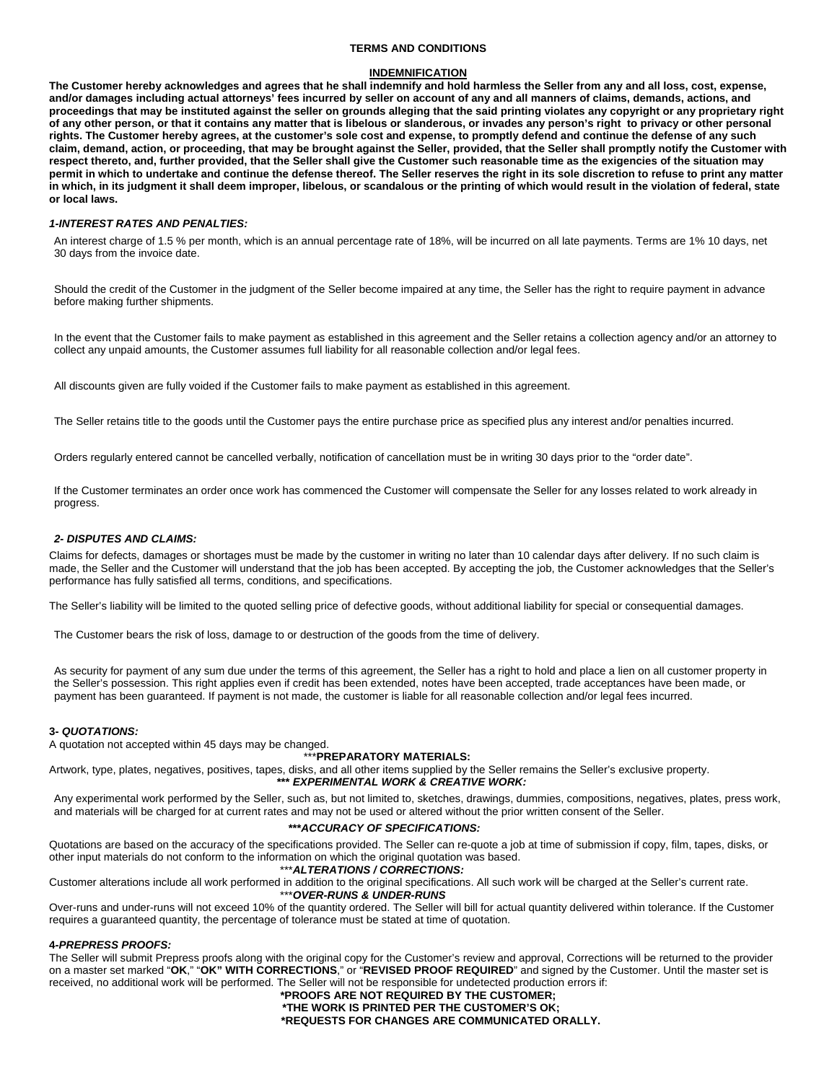# **TERMS AND CONDITIONS**

## **INDEMNIFICATION**

**The Customer hereby acknowledges and agrees that he shall indemnify and hold harmless the Seller from any and all loss, cost, expense, and/or damages including actual attorneys' fees incurred by seller on account of any and all manners of claims, demands, actions, and proceedings that may be instituted against the seller on grounds alleging that the said printing violates any copyright or any proprietary right of any other person, or that it contains any matter that is libelous or slanderous, or invades any person's right to privacy or other personal rights. The Customer hereby agrees, at the customer's sole cost and expense, to promptly defend and continue the defense of any such claim, demand, action, or proceeding, that may be brought against the Seller, provided, that the Seller shall promptly notify the Customer with respect thereto, and, further provided, that the Seller shall give the Customer such reasonable time as the exigencies of the situation may permit in which to undertake and continue the defense thereof. The Seller reserves the right in its sole discretion to refuse to print any matter in which, in its judgment it shall deem improper, libelous, or scandalous or the printing of which would result in the violation of federal, state or local laws.** 

## *1-INTEREST RATES AND PENALTIES:*

An interest charge of 1.5 % per month, which is an annual percentage rate of 18%, will be incurred on all late payments. Terms are 1% 10 days, net 30 days from the invoice date.

Should the credit of the Customer in the judgment of the Seller become impaired at any time, the Seller has the right to require payment in advance before making further shipments.

In the event that the Customer fails to make payment as established in this agreement and the Seller retains a collection agency and/or an attorney to collect any unpaid amounts, the Customer assumes full liability for all reasonable collection and/or legal fees.

All discounts given are fully voided if the Customer fails to make payment as established in this agreement.

The Seller retains title to the goods until the Customer pays the entire purchase price as specified plus any interest and/or penalties incurred.

Orders regularly entered cannot be cancelled verbally, notification of cancellation must be in writing 30 days prior to the "order date".

If the Customer terminates an order once work has commenced the Customer will compensate the Seller for any losses related to work already in progress.

#### *2- DISPUTES AND CLAIMS:*

Claims for defects, damages or shortages must be made by the customer in writing no later than 10 calendar days after delivery. If no such claim is made, the Seller and the Customer will understand that the job has been accepted. By accepting the job, the Customer acknowledges that the Seller's performance has fully satisfied all terms, conditions, and specifications.

The Seller's liability will be limited to the quoted selling price of defective goods, without additional liability for special or consequential damages.

The Customer bears the risk of loss, damage to or destruction of the goods from the time of delivery.

As security for payment of any sum due under the terms of this agreement, the Seller has a right to hold and place a lien on all customer property in the Seller's possession. This right applies even if credit has been extended, notes have been accepted, trade acceptances have been made, or payment has been guaranteed. If payment is not made, the customer is liable for all reasonable collection and/or legal fees incurred.

## **3-** *QUOTATIONS:*

A quotation not accepted within 45 days may be changed.

## \*\*\***PREPARATORY MATERIALS:**

Artwork, type, plates, negatives, positives, tapes, disks, and all other items supplied by the Seller remains the Seller's exclusive property. **\*\*\*** *EXPERIMENTAL WORK & CREATIVE WORK:* 

Any experimental work performed by the Seller, such as, but not limited to, sketches, drawings, dummies, compositions, negatives, plates, press work, and materials will be charged for at current rates and may not be used or altered without the prior written consent of the Seller.

#### **\*\*\****ACCURACY OF SPECIFICATIONS:*

Quotations are based on the accuracy of the specifications provided. The Seller can re-quote a job at time of submission if copy, film, tapes, disks, or other input materials do not conform to the information on which the original quotation was based.

## \*\*\**ALTERATIONS / CORRECTIONS:*

Customer alterations include all work performed in addition to the original specifications. All such work will be charged at the Seller's current rate. \*\*\**OVER-RUNS & UNDER-RUNS* 

Over-runs and under-runs will not exceed 10% of the quantity ordered. The Seller will bill for actual quantity delivered within tolerance. If the Customer requires a guaranteed quantity, the percentage of tolerance must be stated at time of quotation.

#### **4-***PREPRESS PROOFS:*

The Seller will submit Prepress proofs along with the original copy for the Customer's review and approval, Corrections will be returned to the provider on a master set marked "**OK**," "**OK" WITH CORRECTIONS**," or "**REVISED PROOF REQUIRED**" and signed by the Customer. Until the master set is received, no additional work will be performed. The Seller will not be responsible for undetected production errors if:

**\*PROOFS ARE NOT REQUIRED BY THE CUSTOMER; \*THE WORK IS PRINTED PER THE CUSTOMER'S OK; \*REQUESTS FOR CHANGES ARE COMMUNICATED ORALLY.**